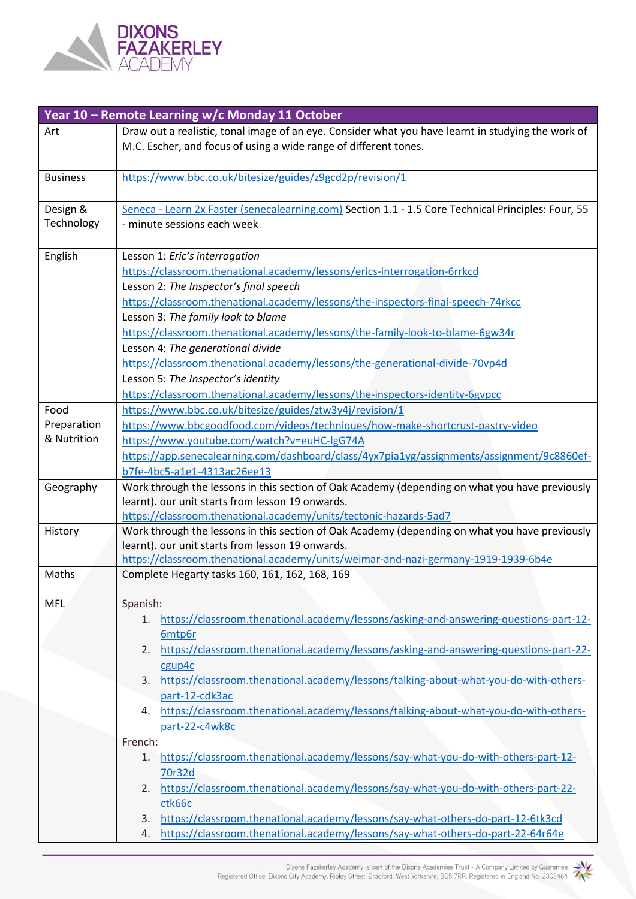

|                 | Year 10 - Remote Learning w/c Monday 11 October                                                     |
|-----------------|-----------------------------------------------------------------------------------------------------|
| Art             | Draw out a realistic, tonal image of an eye. Consider what you have learnt in studying the work of  |
|                 | M.C. Escher, and focus of using a wide range of different tones.                                    |
|                 |                                                                                                     |
| <b>Business</b> | https://www.bbc.co.uk/bitesize/guides/z9gcd2p/revision/1                                            |
|                 |                                                                                                     |
| Design &        | Seneca - Learn 2x Faster (senecalearning.com) Section 1.1 - 1.5 Core Technical Principles: Four, 55 |
| Technology      | - minute sessions each week                                                                         |
|                 |                                                                                                     |
| English         | Lesson 1: Eric's interrogation                                                                      |
|                 | https://classroom.thenational.academy/lessons/erics-interrogation-6rrkcd                            |
|                 | Lesson 2: The Inspector's final speech                                                              |
|                 | https://classroom.thenational.academy/lessons/the-inspectors-final-speech-74rkcc                    |
|                 | Lesson 3: The family look to blame                                                                  |
|                 | https://classroom.thenational.academy/lessons/the-family-look-to-blame-6gw34r                       |
|                 | Lesson 4: The generational divide                                                                   |
|                 | https://classroom.thenational.academy/lessons/the-generational-divide-70vp4d                        |
|                 | Lesson 5: The Inspector's identity                                                                  |
|                 | https://classroom.thenational.academy/lessons/the-inspectors-identity-6gypcc                        |
| Food            | https://www.bbc.co.uk/bitesize/guides/ztw3y4j/revision/1                                            |
| Preparation     | https://www.bbcgoodfood.com/videos/techniques/how-make-shortcrust-pastry-video                      |
| & Nutrition     | https://www.youtube.com/watch?v=euHC-lgG74A                                                         |
|                 | https://app.senecalearning.com/dashboard/class/4yx7pia1yg/assignments/assignment/9c8860ef-          |
|                 | b7fe-4bc5-a1e1-4313ac26ee13                                                                         |
| Geography       | Work through the lessons in this section of Oak Academy (depending on what you have previously      |
|                 | learnt). our unit starts from lesson 19 onwards.                                                    |
|                 | https://classroom.thenational.academy/units/tectonic-hazards-5ad7                                   |
| History         | Work through the lessons in this section of Oak Academy (depending on what you have previously      |
|                 | learnt). our unit starts from lesson 19 onwards.                                                    |
|                 | https://classroom.thenational.academy/units/weimar-and-nazi-germany-1919-1939-6b4e                  |
| Maths           | Complete Hegarty tasks 160, 161, 162, 168, 169                                                      |
| MFL             | Spanish:                                                                                            |
|                 | https://classroom.thenational.academy/lessons/asking-and-answering-questions-part-12-<br>1.         |
|                 | 6mtp6r                                                                                              |
|                 | https://classroom.thenational.academy/lessons/asking-and-answering-questions-part-22-<br>2.         |
|                 | cgup4c                                                                                              |
|                 | https://classroom.thenational.academy/lessons/talking-about-what-you-do-with-others-<br>3.          |
|                 | part-12-cdk3ac                                                                                      |
|                 | https://classroom.thenational.academy/lessons/talking-about-what-you-do-with-others-<br>4.          |
|                 | part-22-c4wk8c                                                                                      |
|                 | French:                                                                                             |
|                 | https://classroom.thenational.academy/lessons/say-what-you-do-with-others-part-12-<br>1.            |
|                 | 70r32d                                                                                              |
|                 | https://classroom.thenational.academy/lessons/say-what-you-do-with-others-part-22-<br>2.            |
|                 | ctk66c                                                                                              |
|                 | https://classroom.thenational.academy/lessons/say-what-others-do-part-12-6tk3cd<br>3.               |
|                 | https://classroom.thenational.academy/lessons/say-what-others-do-part-22-64r64e<br>4.               |
|                 |                                                                                                     |

Dixons Fazakerley Academy is part of the Dixons Academies Trust - A Company Limited by Guarantee<br>Registered Office: Dixons City Academy, Ripley Street, Bradford, West Yorkshire, BD5 7RR. Registered in England No. 2303464